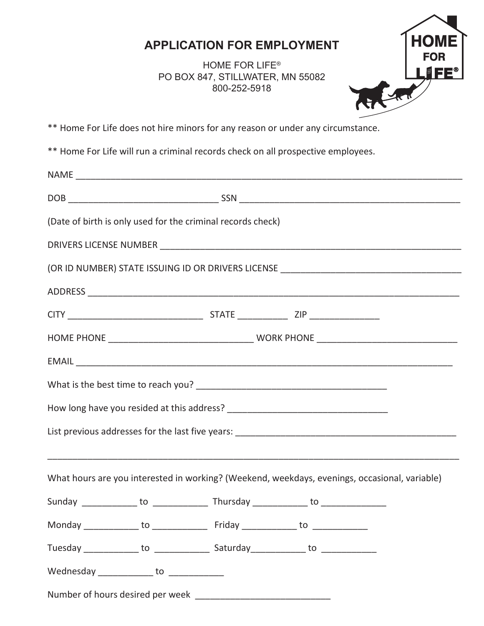## **APPLICATION FOR EMPLOYMENT**

PO BOX 847, STILLWATER, MN 55082 HOME FOR LIFE® 800-252-5918



\*\* Home For Life does not hire minors for any reason or under any circumstance.

\*\* Home For Life will run a criminal records check on all prospective employees.

|                                           | (Date of birth is only used for the criminal records check)                                   |  |                                                                                   |
|-------------------------------------------|-----------------------------------------------------------------------------------------------|--|-----------------------------------------------------------------------------------|
|                                           |                                                                                               |  |                                                                                   |
|                                           |                                                                                               |  | (OR ID NUMBER) STATE ISSUING ID OR DRIVERS LICENSE ______________________________ |
|                                           |                                                                                               |  |                                                                                   |
|                                           |                                                                                               |  |                                                                                   |
|                                           |                                                                                               |  |                                                                                   |
|                                           |                                                                                               |  |                                                                                   |
|                                           |                                                                                               |  |                                                                                   |
|                                           |                                                                                               |  |                                                                                   |
|                                           |                                                                                               |  |                                                                                   |
|                                           |                                                                                               |  |                                                                                   |
|                                           | What hours are you interested in working? (Weekend, weekdays, evenings, occasional, variable) |  |                                                                                   |
|                                           |                                                                                               |  |                                                                                   |
|                                           | Monday ______________ to __________________ Friday ______________ to ____________             |  |                                                                                   |
|                                           | Tuesday _______________ to ________________ Saturday ______________ to _______________        |  |                                                                                   |
| Wednesday ______________ to _____________ |                                                                                               |  |                                                                                   |
|                                           |                                                                                               |  |                                                                                   |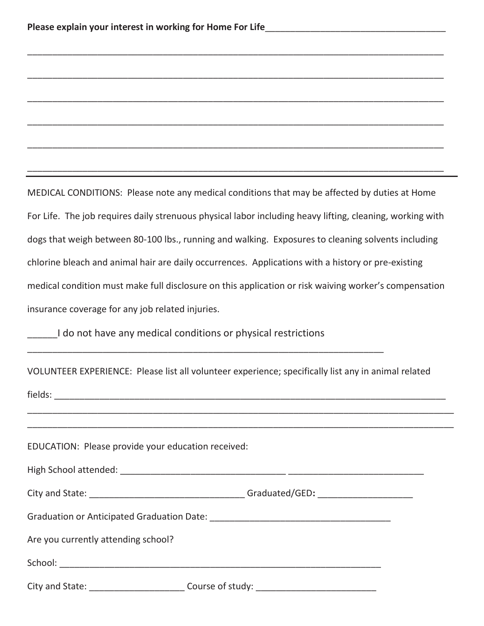MEDICAL CONDITIONS: Please note any medical conditions that may be affected by duties at Home For Life. The job requires daily strenuous physical labor including heavy lifting, cleaning, working with dogs that weigh between 80-100 lbs., running and walking. Exposures to cleaning solvents including chlorine bleach and animal hair are daily occurrences. Applications with a history or pre-existing medical condition must make full disclosure on this application or risk waiving worker's compensation insurance coverage for any job related injuries.

 $\_$  , and the set of the set of the set of the set of the set of the set of the set of the set of the set of the set of the set of the set of the set of the set of the set of the set of the set of the set of the set of th

\_\_\_\_\_\_\_\_\_\_\_\_\_\_\_\_\_\_\_\_\_\_\_\_\_\_\_\_\_\_\_\_\_\_\_\_\_\_\_\_\_\_\_\_\_\_\_\_\_\_\_\_\_\_\_\_\_\_\_\_\_\_\_\_\_\_\_\_\_\_\_\_\_\_\_\_\_\_\_\_\_\_\_

 $\_$  , and the set of the set of the set of the set of the set of the set of the set of the set of the set of the set of the set of the set of the set of the set of the set of the set of the set of the set of the set of th

 $\_$  , and the set of the set of the set of the set of the set of the set of the set of the set of the set of the set of the set of the set of the set of the set of the set of the set of the set of the set of the set of th

\_\_\_\_\_\_\_\_\_\_\_\_\_\_\_\_\_\_\_\_\_\_\_\_\_\_\_\_\_\_\_\_\_\_\_\_\_\_\_\_\_\_\_\_\_\_\_\_\_\_\_\_\_\_\_\_\_\_\_\_\_\_\_\_\_\_\_\_\_\_\_\_\_\_\_\_\_\_\_\_\_\_\_

 $\_$  , and the set of the set of the set of the set of the set of the set of the set of the set of the set of the set of the set of the set of the set of the set of the set of the set of the set of the set of the set of th

I do not have any medical conditions or physical restrictions

|  | VOLUNTEER EXPERIENCE: Please list all volunteer experience; specifically list any in animal related |
|--|-----------------------------------------------------------------------------------------------------|
|  |                                                                                                     |

 $\_$  , and the set of the set of the set of the set of the set of the set of the set of the set of the set of the set of the set of the set of the set of the set of the set of the set of the set of the set of the set of th \_\_\_\_\_\_\_\_\_\_\_\_\_\_\_\_\_\_\_\_\_\_\_\_\_\_\_\_\_\_\_\_\_\_\_\_\_\_\_\_\_\_\_\_\_\_\_\_\_\_\_\_\_\_\_\_\_\_\_\_\_\_\_\_\_\_\_\_\_\_\_\_\_\_\_\_\_\_\_\_\_\_\_\_\_

 $\textsf{fields:}\quad$ 

EDUCATION: Please provide your education received:

High School attended: \_\_\_\_\_\_\_\_\_\_\_\_\_\_\_\_\_\_\_\_\_\_\_\_\_\_\_\_\_\_\_\_\_ \_\_\_\_\_\_\_\_\_\_\_\_\_\_\_\_\_\_\_\_\_\_\_\_\_\_\_

City and State: \_\_\_\_\_\_\_\_\_\_\_\_\_\_\_\_\_\_\_\_\_\_\_\_\_\_\_\_\_\_\_\_\_\_\_Graduated/GED: \_\_\_\_\_\_\_\_\_\_\_\_\_\_\_

Graduation or Anticipated Graduation Date: \_\_\_\_\_\_\_\_\_\_\_\_\_\_\_\_\_\_\_\_\_\_\_\_\_\_\_\_\_\_\_\_\_\_\_\_

Are you currently attending school?

School: \_\_\_\_\_\_\_\_\_\_\_\_\_\_\_\_\_\_\_\_\_\_\_\_\_\_\_\_\_\_\_\_\_\_\_\_\_\_\_\_\_\_\_\_\_\_\_\_\_\_\_\_\_\_\_\_\_\_\_\_\_\_\_\_

City and State: \_\_\_\_\_\_\_\_\_\_\_\_\_\_\_\_\_\_\_\_\_\_\_\_\_\_\_\_\_Course of study: \_\_\_\_\_\_\_\_\_\_\_\_\_\_\_\_\_\_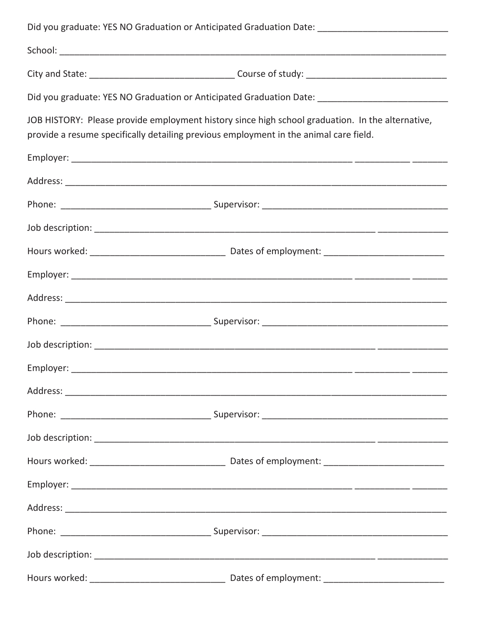|                                                                                                                                                                                           | Did you graduate: YES NO Graduation or Anticipated Graduation Date: _______________________________ |
|-------------------------------------------------------------------------------------------------------------------------------------------------------------------------------------------|-----------------------------------------------------------------------------------------------------|
|                                                                                                                                                                                           |                                                                                                     |
|                                                                                                                                                                                           |                                                                                                     |
|                                                                                                                                                                                           | Did you graduate: YES NO Graduation or Anticipated Graduation Date: _______________________________ |
| JOB HISTORY: Please provide employment history since high school graduation. In the alternative,<br>provide a resume specifically detailing previous employment in the animal care field. |                                                                                                     |
|                                                                                                                                                                                           |                                                                                                     |
|                                                                                                                                                                                           |                                                                                                     |
|                                                                                                                                                                                           |                                                                                                     |
|                                                                                                                                                                                           |                                                                                                     |
|                                                                                                                                                                                           |                                                                                                     |
|                                                                                                                                                                                           |                                                                                                     |
|                                                                                                                                                                                           |                                                                                                     |
|                                                                                                                                                                                           |                                                                                                     |
|                                                                                                                                                                                           |                                                                                                     |
|                                                                                                                                                                                           |                                                                                                     |
|                                                                                                                                                                                           |                                                                                                     |
|                                                                                                                                                                                           |                                                                                                     |
|                                                                                                                                                                                           |                                                                                                     |
|                                                                                                                                                                                           |                                                                                                     |
|                                                                                                                                                                                           |                                                                                                     |
|                                                                                                                                                                                           |                                                                                                     |
|                                                                                                                                                                                           |                                                                                                     |
|                                                                                                                                                                                           |                                                                                                     |
|                                                                                                                                                                                           |                                                                                                     |